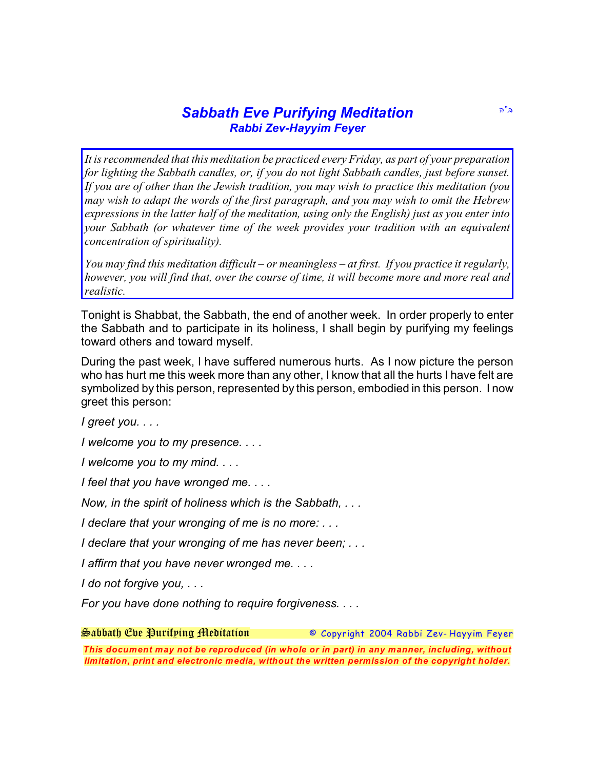## **Sabbath Eve Purifying Meditation**  $\frac{1}{2}$ *Rabbi Zev-Hayyim Feyer*

*It is recommended that this meditation be practiced every Friday, as part of your preparation for lighting the Sabbath candles, or, if you do not light Sabbath candles, just before sunset. If you are of other than the Jewish tradition, you may wish to practice this meditation (you may wish to adapt the words of the first paragraph, and you may wish to omit the Hebrew expressions in the latter half of the meditation, using only the English) just as you enter into your Sabbath (or whatever time of the week provides your tradition with an equivalent concentration of spirituality).*

*You may find this meditation difficult – or meaningless – at first. If you practice it regularly, however, you will find that, over the course of time, it will become more and more real and realistic.*

Tonight is Shabbat, the Sabbath, the end of another week. In order properly to enter the Sabbath and to participate in its holiness, I shall begin by purifying my feelings toward others and toward myself.

During the past week, I have suffered numerous hurts. As I now picture the person who has hurt me this week more than any other, I know that all the hurts I have felt are symbolized by this person, represented by this person, embodied in this person. I now greet this person:

*I greet you. . . .*

*I welcome you to my presence. . . .*

*I welcome you to my mind. . . .*

*I feel that you have wronged me. . . .*

*Now, in the spirit of holiness which is the Sabbath, . . .*

*I declare that your wronging of me is no more: . . .*

*I declare that your wronging of me has never been; . . .*

*I affirm that you have never wronged me. . . .*

*I do not forgive you, . . .*

*For you have done nothing to require forgiveness. . . .*

*Sabbath Eve Purifying Meditation © Copyright 2004 Rabbi Zev- Hayyim Feyer*

*This document may not be reproduced (in whole or in part) in any manner, including, without limitation, print and electronic media, without the written permission of the copyright holder.*